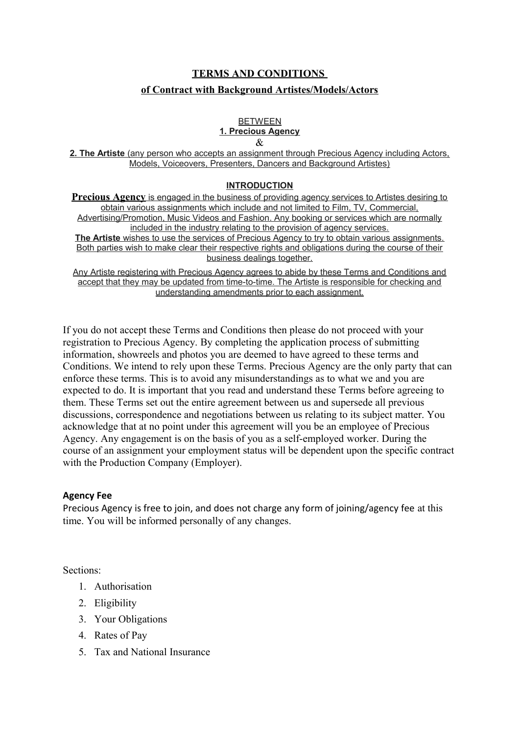# **TERMS AND CONDITIONS of Contract with Background Artistes/Models/Actors**

#### **BETWEEN 1. Precious Agency** &

 **2. The Artiste** (any person who accepts an assignment through Precious Agency including Actors, Models, Voiceovers, Presenters, Dancers and Background Artistes)

## **INTRODUCTION**

**Precious Agency** is engaged in the business of providing agency services to Artistes desiring to obtain various assignments which include and not limited to Film, TV, Commercial, Advertising/Promotion, Music Videos and Fashion. Any booking or services which are normally included in the industry relating to the provision of agency services. **The Artiste** wishes to use the services of Precious Agency to try to obtain various assignments. Both parties wish to make clear their respective rights and obligations during the course of their business dealings together.

Any Artiste registering with Precious Agency agrees to abide by these Terms and Conditions and accept that they may be updated from time-to-time. The Artiste is responsible for checking and understanding amendments prior to each assignment.

If you do not accept these Terms and Conditions then please do not proceed with your registration to Precious Agency. By completing the application process of submitting information, showreels and photos you are deemed to have agreed to these terms and Conditions. We intend to rely upon these Terms. Precious Agency are the only party that can enforce these terms. This is to avoid any misunderstandings as to what we and you are expected to do. It is important that you read and understand these Terms before agreeing to them. These Terms set out the entire agreement between us and supersede all previous discussions, correspondence and negotiations between us relating to its subject matter. You acknowledge that at no point under this agreement will you be an employee of Precious Agency. Any engagement is on the basis of you as a self-employed worker. During the course of an assignment your employment status will be dependent upon the specific contract with the Production Company (Employer).

## **Agency Fee**

Precious Agency is free to join, and does not charge any form of joining/agency fee at this time. You will be informed personally of any changes.

Sections:

- 1. Authorisation
- 2. Eligibility
- 3. Your Obligations
- 4. Rates of Pay
- 5. Tax and National Insurance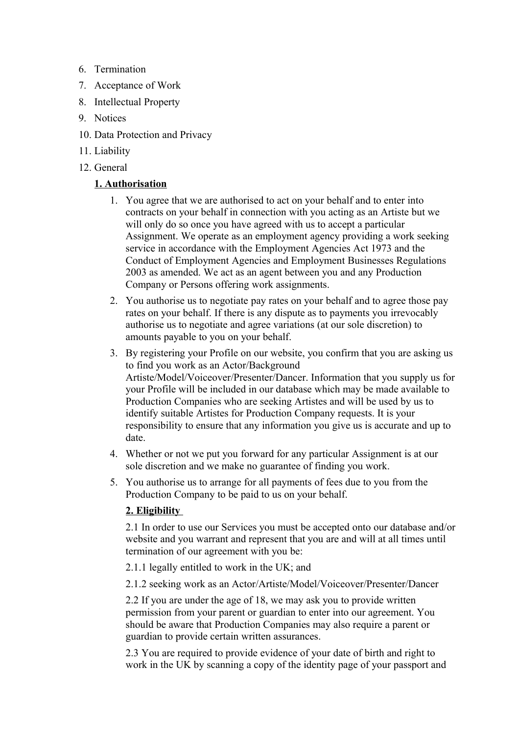- 6. Termination
- 7. Acceptance of Work
- 8. Intellectual Property
- 9. Notices
- 10. Data Protection and Privacy
- 11. Liability
- 12. General

# **1. Authorisation**

- 1. You agree that we are authorised to act on your behalf and to enter into contracts on your behalf in connection with you acting as an Artiste but we will only do so once you have agreed with us to accept a particular Assignment. We operate as an employment agency providing a work seeking service in accordance with the Employment Agencies Act 1973 and the Conduct of Employment Agencies and Employment Businesses Regulations 2003 as amended. We act as an agent between you and any Production Company or Persons offering work assignments.
- 2. You authorise us to negotiate pay rates on your behalf and to agree those pay rates on your behalf. If there is any dispute as to payments you irrevocably authorise us to negotiate and agree variations (at our sole discretion) to amounts payable to you on your behalf.
- 3. By registering your Profile on our website, you confirm that you are asking us to find you work as an Actor/Background Artiste/Model/Voiceover/Presenter/Dancer. Information that you supply us for your Profile will be included in our database which may be made available to Production Companies who are seeking Artistes and will be used by us to identify suitable Artistes for Production Company requests. It is your responsibility to ensure that any information you give us is accurate and up to date.
- 4. Whether or not we put you forward for any particular Assignment is at our sole discretion and we make no guarantee of finding you work.
- 5. You authorise us to arrange for all payments of fees due to you from the Production Company to be paid to us on your behalf.

# **2. Eligibility**

2.1 In order to use our Services you must be accepted onto our database and/or website and you warrant and represent that you are and will at all times until termination of our agreement with you be:

2.1.1 legally entitled to work in the UK; and

2.1.2 seeking work as an Actor/Artiste/Model/Voiceover/Presenter/Dancer

2.2 If you are under the age of 18, we may ask you to provide written permission from your parent or guardian to enter into our agreement. You should be aware that Production Companies may also require a parent or guardian to provide certain written assurances.

2.3 You are required to provide evidence of your date of birth and right to work in the UK by scanning a copy of the identity page of your passport and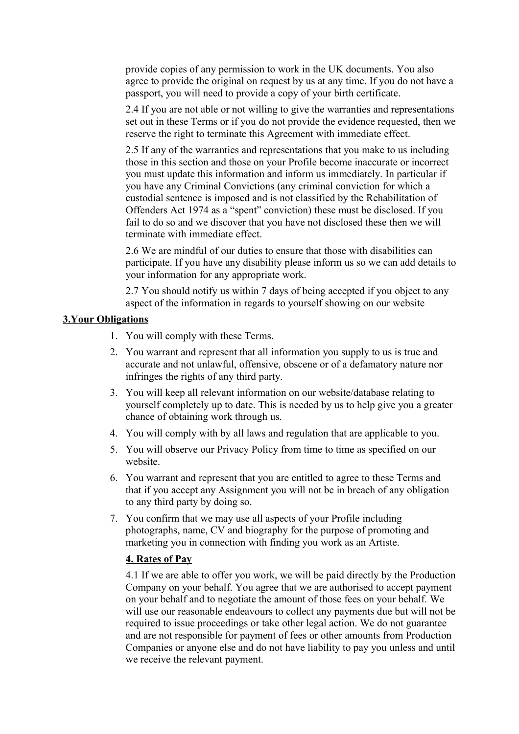provide copies of any permission to work in the UK documents. You also agree to provide the original on request by us at any time. If you do not have a passport, you will need to provide a copy of your birth certificate.

2.4 If you are not able or not willing to give the warranties and representations set out in these Terms or if you do not provide the evidence requested, then we reserve the right to terminate this Agreement with immediate effect.

2.5 If any of the warranties and representations that you make to us including those in this section and those on your Profile become inaccurate or incorrect you must update this information and inform us immediately. In particular if you have any Criminal Convictions (any criminal conviction for which a custodial sentence is imposed and is not classified by the Rehabilitation of Offenders Act 1974 as a "spent" conviction) these must be disclosed. If you fail to do so and we discover that you have not disclosed these then we will terminate with immediate effect.

2.6 We are mindful of our duties to ensure that those with disabilities can participate. If you have any disability please inform us so we can add details to your information for any appropriate work.

2.7 You should notify us within 7 days of being accepted if you object to any aspect of the information in regards to yourself showing on our website

# **3.Your Obligations**

- 1. You will comply with these Terms.
- 2. You warrant and represent that all information you supply to us is true and accurate and not unlawful, offensive, obscene or of a defamatory nature nor infringes the rights of any third party.
- 3. You will keep all relevant information on our website/database relating to yourself completely up to date. This is needed by us to help give you a greater chance of obtaining work through us.
- 4. You will comply with by all laws and regulation that are applicable to you.
- 5. You will observe our Privacy Policy from time to time as specified on our website.
- 6. You warrant and represent that you are entitled to agree to these Terms and that if you accept any Assignment you will not be in breach of any obligation to any third party by doing so.
- 7. You confirm that we may use all aspects of your Profile including photographs, name, CV and biography for the purpose of promoting and marketing you in connection with finding you work as an Artiste.

## **4. Rates of Pay**

4.1 If we are able to offer you work, we will be paid directly by the Production Company on your behalf. You agree that we are authorised to accept payment on your behalf and to negotiate the amount of those fees on your behalf. We will use our reasonable endeavours to collect any payments due but will not be required to issue proceedings or take other legal action. We do not guarantee and are not responsible for payment of fees or other amounts from Production Companies or anyone else and do not have liability to pay you unless and until we receive the relevant payment.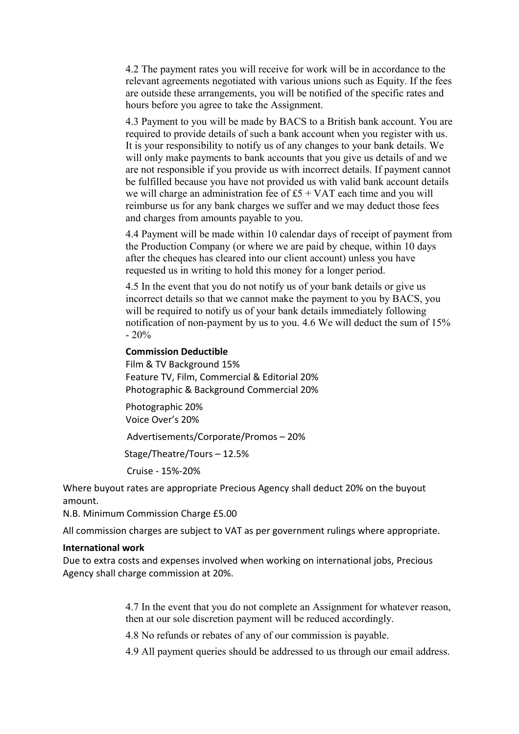4.2 The payment rates you will receive for work will be in accordance to the relevant agreements negotiated with various unions such as Equity. If the fees are outside these arrangements, you will be notified of the specific rates and hours before you agree to take the Assignment.

4.3 Payment to you will be made by BACS to a British bank account. You are required to provide details of such a bank account when you register with us. It is your responsibility to notify us of any changes to your bank details. We will only make payments to bank accounts that you give us details of and we are not responsible if you provide us with incorrect details. If payment cannot be fulfilled because you have not provided us with valid bank account details we will charge an administration fee of  $£5 + VAT$  each time and you will reimburse us for any bank charges we suffer and we may deduct those fees and charges from amounts payable to you.

4.4 Payment will be made within 10 calendar days of receipt of payment from the Production Company (or where we are paid by cheque, within 10 days after the cheques has cleared into our client account) unless you have requested us in writing to hold this money for a longer period.

4.5 In the event that you do not notify us of your bank details or give us incorrect details so that we cannot make the payment to you by BACS, you will be required to notify us of your bank details immediately following notification of non-payment by us to you. 4.6 We will deduct the sum of 15%  $-20%$ 

#### **Commission Deductible**

Film & TV Background 15% Feature TV, Film, Commercial & Editorial 20% Photographic & Background Commercial 20%

Photographic 20% Voice Over's 20%

Advertisements/Corporate/Promos – 20%

Stage/Theatre/Tours – 12.5%

Cruise - 15%-20%

Where buyout rates are appropriate Precious Agency shall deduct 20% on the buyout amount.

N.B. Minimum Commission Charge £5.00

All commission charges are subject to VAT as per government rulings where appropriate.

#### **International work**

Due to extra costs and expenses involved when working on international jobs, Precious Agency shall charge commission at 20%.

> 4.7 In the event that you do not complete an Assignment for whatever reason, then at our sole discretion payment will be reduced accordingly.

4.8 No refunds or rebates of any of our commission is payable.

4.9 All payment queries should be addressed to us through our email address.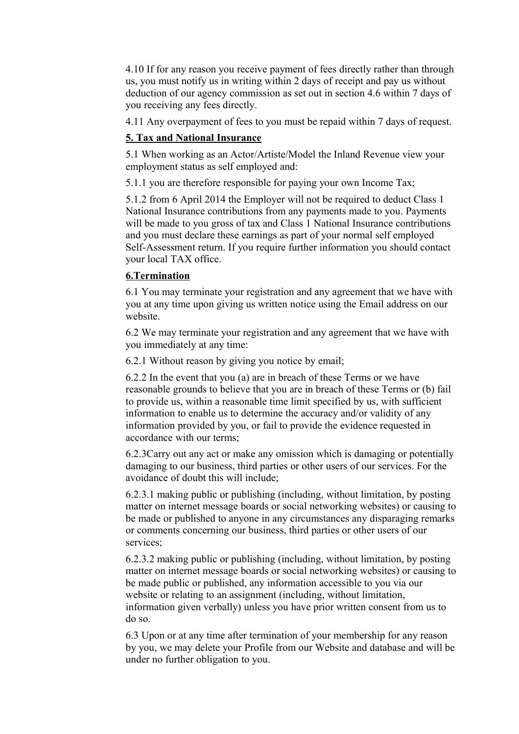4.10 If for any reason you receive payment of fees directly rather than through us, you must notify us in writing within 2 days of receipt and pay us without deduction of our agency commission as set out in section 4.6 within 7 days of you receiving any fees directly.

4.11 Any overpayment of fees to you must be repaid within 7 days of request.

# **5. Tax and National Insurance**

5.1 When working as an Actor/Artiste/Model the Inland Revenue view your employment status as self employed and:

5.1.1 you are therefore responsible for paying your own Income Tax;

5.1.2 from 6 April 2014 the Employer will not be required to deduct Class 1 National Insurance contributions from any payments made to you. Payments will be made to you gross of tax and Class 1 National Insurance contributions and you must declare these earnings as part of your normal self employed Self-Assessment return. If you require further information you should contact your local TAX office.

## **6.Termination**

6.1 You may terminate your registration and any agreement that we have with you at any time upon giving us written notice using the Email address on our website.

6.2 We may terminate your registration and any agreement that we have with you immediately at any time:

6.2.1 Without reason by giving you notice by email;

6.2.2 In the event that you (a) are in breach of these Terms or we have reasonable grounds to believe that you are in breach of these Terms or (b) fail to provide us, within a reasonable time limit specified by us, with sufficient information to enable us to determine the accuracy and/or validity of any information provided by you, or fail to provide the evidence requested in accordance with our terms;

6.2.3Carry out any act or make any omission which is damaging or potentially damaging to our business, third parties or other users of our services. For the avoidance of doubt this will include;

6.2.3.1 making public or publishing (including, without limitation, by posting matter on internet message boards or social networking websites) or causing to be made or published to anyone in any circumstances any disparaging remarks or comments concerning our business, third parties or other users of our services;

6.2.3.2 making public or publishing (including, without limitation, by posting matter on internet message boards or social networking websites) or causing to be made public or published, any information accessible to you via our website or relating to an assignment (including, without limitation, information given verbally) unless you have prior written consent from us to do so.

6.3 Upon or at any time after termination of your membership for any reason by you, we may delete your Profile from our Website and database and will be under no further obligation to you.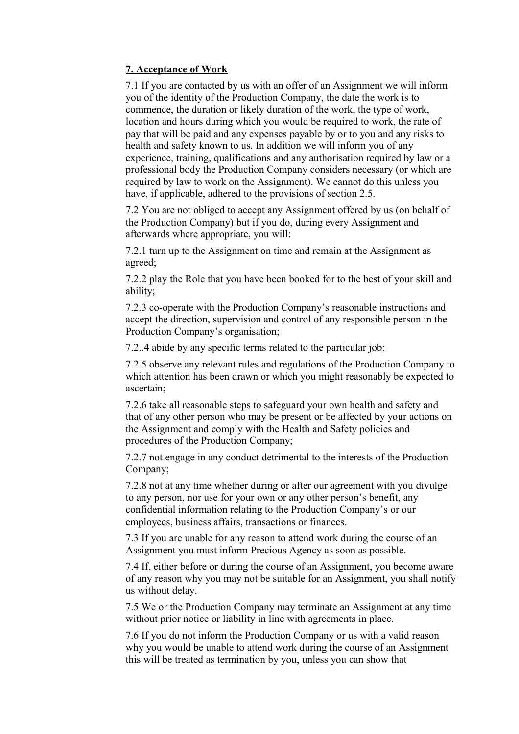# **7. Acceptance of Work**

7.1 If you are contacted by us with an offer of an Assignment we will inform you of the identity of the Production Company, the date the work is to commence, the duration or likely duration of the work, the type of work, location and hours during which you would be required to work, the rate of pay that will be paid and any expenses payable by or to you and any risks to health and safety known to us. In addition we will inform you of any experience, training, qualifications and any authorisation required by law or a professional body the Production Company considers necessary (or which are required by law to work on the Assignment). We cannot do this unless you have, if applicable, adhered to the provisions of section 2.5.

7.2 You are not obliged to accept any Assignment offered by us (on behalf of the Production Company) but if you do, during every Assignment and afterwards where appropriate, you will:

7.2.1 turn up to the Assignment on time and remain at the Assignment as agreed;

7.2.2 play the Role that you have been booked for to the best of your skill and ability;

7.2.3 co-operate with the Production Company's reasonable instructions and accept the direction, supervision and control of any responsible person in the Production Company's organisation;

7.2..4 abide by any specific terms related to the particular job;

7.2.5 observe any relevant rules and regulations of the Production Company to which attention has been drawn or which you might reasonably be expected to ascertain;

7.2.6 take all reasonable steps to safeguard your own health and safety and that of any other person who may be present or be affected by your actions on the Assignment and comply with the Health and Safety policies and procedures of the Production Company;

7.2.7 not engage in any conduct detrimental to the interests of the Production Company;

7.2.8 not at any time whether during or after our agreement with you divulge to any person, nor use for your own or any other person's benefit, any confidential information relating to the Production Company's or our employees, business affairs, transactions or finances.

7.3 If you are unable for any reason to attend work during the course of an Assignment you must inform Precious Agency as soon as possible.

7.4 If, either before or during the course of an Assignment, you become aware of any reason why you may not be suitable for an Assignment, you shall notify us without delay.

7.5 We or the Production Company may terminate an Assignment at any time without prior notice or liability in line with agreements in place.

7.6 If you do not inform the Production Company or us with a valid reason why you would be unable to attend work during the course of an Assignment this will be treated as termination by you, unless you can show that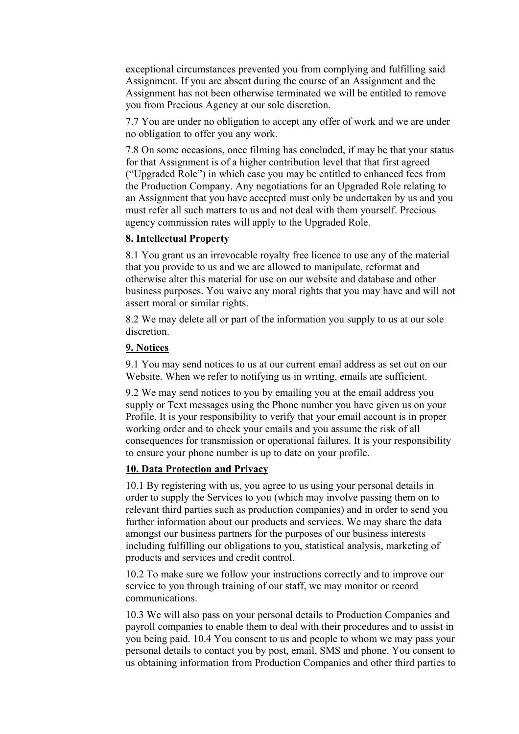exceptional circumstances prevented you from complying and fulfilling said Assignment. If you are absent during the course of an Assignment and the Assignment has not been otherwise terminated we will be entitled to remove you from Precious Agency at our sole discretion.

7.7 You are under no obligation to accept any offer of work and we are under no obligation to offer you any work.

7.8 On some occasions, once filming has concluded, if may be that your status for that Assignment is of a higher contribution level that that first agreed ("Upgraded Role") in which case you may be entitled to enhanced fees from the Production Company. Any negotiations for an Upgraded Role relating to an Assignment that you have accepted must only be undertaken by us and you must refer all such matters to us and not deal with them yourself. Precious agency commission rates will apply to the Upgraded Role.

#### **8. Intellectual Property**

8.1 You grant us an irrevocable royalty free licence to use any of the material that you provide to us and we are allowed to manipulate, reformat and otherwise alter this material for use on our website and database and other business purposes. You waive any moral rights that you may have and will not assert moral or similar rights.

8.2 We may delete all or part of the information you supply to us at our sole discretion.

#### **9. Notices**

9.1 You may send notices to us at our current email address as set out on our Website. When we refer to notifying us in writing, emails are sufficient.

9.2 We may send notices to you by emailing you at the email address you supply or Text messages using the Phone number you have given us on your Profile. It is your responsibility to verify that your email account is in proper working order and to check your emails and you assume the risk of all consequences for transmission or operational failures. It is your responsibility to ensure your phone number is up to date on your profile.

#### **10. Data Protection and Privacy**

10.1 By registering with us, you agree to us using your personal details in order to supply the Services to you (which may involve passing them on to relevant third parties such as production companies) and in order to send you further information about our products and services. We may share the data amongst our business partners for the purposes of our business interests including fulfilling our obligations to you, statistical analysis, marketing of products and services and credit control.

10.2 To make sure we follow your instructions correctly and to improve our service to you through training of our staff, we may monitor or record communications.

10.3 We will also pass on your personal details to Production Companies and payroll companies to enable them to deal with their procedures and to assist in you being paid. 10.4 You consent to us and people to whom we may pass your personal details to contact you by post, email, SMS and phone. You consent to us obtaining information from Production Companies and other third parties to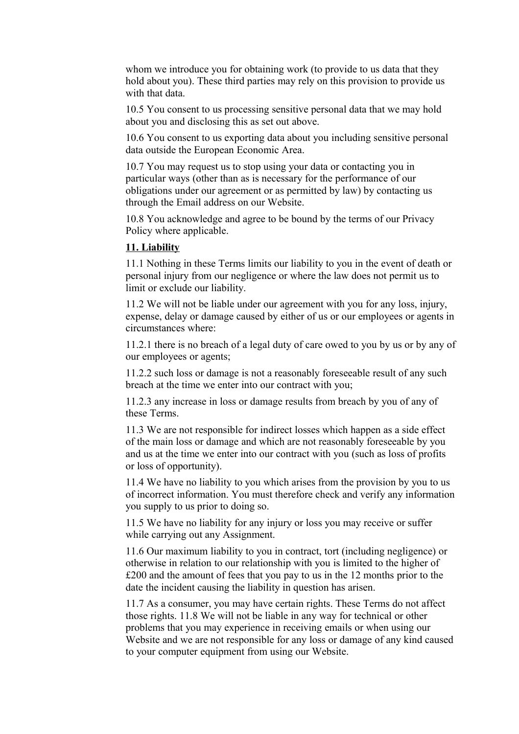whom we introduce you for obtaining work (to provide to us data that they hold about you). These third parties may rely on this provision to provide us with that data.

10.5 You consent to us processing sensitive personal data that we may hold about you and disclosing this as set out above.

10.6 You consent to us exporting data about you including sensitive personal data outside the European Economic Area.

10.7 You may request us to stop using your data or contacting you in particular ways (other than as is necessary for the performance of our obligations under our agreement or as permitted by law) by contacting us through the Email address on our Website.

10.8 You acknowledge and agree to be bound by the terms of our Privacy Policy where applicable.

# **11. Liability**

11.1 Nothing in these Terms limits our liability to you in the event of death or personal injury from our negligence or where the law does not permit us to limit or exclude our liability.

11.2 We will not be liable under our agreement with you for any loss, injury, expense, delay or damage caused by either of us or our employees or agents in circumstances where:

11.2.1 there is no breach of a legal duty of care owed to you by us or by any of our employees or agents;

11.2.2 such loss or damage is not a reasonably foreseeable result of any such breach at the time we enter into our contract with you;

11.2.3 any increase in loss or damage results from breach by you of any of these Terms.

11.3 We are not responsible for indirect losses which happen as a side effect of the main loss or damage and which are not reasonably foreseeable by you and us at the time we enter into our contract with you (such as loss of profits or loss of opportunity).

11.4 We have no liability to you which arises from the provision by you to us of incorrect information. You must therefore check and verify any information you supply to us prior to doing so.

11.5 We have no liability for any injury or loss you may receive or suffer while carrying out any Assignment.

11.6 Our maximum liability to you in contract, tort (including negligence) or otherwise in relation to our relationship with you is limited to the higher of £200 and the amount of fees that you pay to us in the 12 months prior to the date the incident causing the liability in question has arisen.

11.7 As a consumer, you may have certain rights. These Terms do not affect those rights. 11.8 We will not be liable in any way for technical or other problems that you may experience in receiving emails or when using our Website and we are not responsible for any loss or damage of any kind caused to your computer equipment from using our Website.